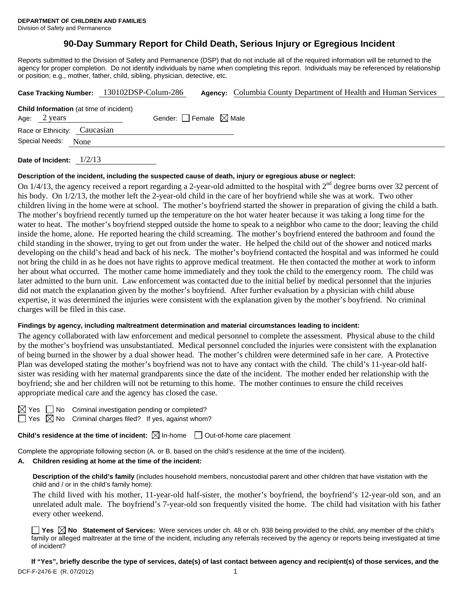# **90-Day Summary Report for Child Death, Serious Injury or Egregious Incident**

Reports submitted to the Division of Safety and Permanence (DSP) that do not include all of the required information will be returned to the agency for proper completion. Do not identify individuals by name when completing this report. Individuals may be referenced by relationship or position; e.g., mother, father, child, sibling, physician, detective, etc.

|                                                                | Case Tracking Number: 130102DSP-Colum-286 | <b>Agency:</b> Columbia County Department of Health and Human Services |
|----------------------------------------------------------------|-------------------------------------------|------------------------------------------------------------------------|
| <b>Child Information</b> (at time of incident)<br>Age: 2 years | Gender: Female $\boxtimes$ Male           |                                                                        |
| Race or Ethnicity: Caucasian                                   |                                           |                                                                        |
| Special Needs: None                                            |                                           |                                                                        |
| 1/2/13<br>Date of Incident:                                    |                                           |                                                                        |

## **Description of the incident, including the suspected cause of death, injury or egregious abuse or neglect:**

On 1/4/13, the agency received a report regarding a 2-year-old admitted to the hospital with  $2<sup>nd</sup>$  degree burns over 32 percent of his body. On 1/2/13, the mother left the 2-year-old child in the care of her boyfriend while she was at work. Two other children living in the home were at school. The mother's boyfriend started the shower in preparation of giving the child a bath. The mother's boyfriend recently turned up the temperature on the hot water heater because it was taking a long time for the water to heat. The mother's boyfriend stepped outside the home to speak to a neighbor who came to the door; leaving the child inside the home, alone. He reported hearing the child screaming. The mother's boyfriend entered the bathroom and found the child standing in the shower, trying to get out from under the water. He helped the child out of the shower and noticed marks developing on the child's head and back of his neck. The mother's boyfriend contacted the hospital and was informed he could not bring the child in as he does not have rights to approve medical treatment. He then contacted the mother at work to inform her about what occurred. The mother came home immediately and they took the child to the emergency room. The child was later admitted to the burn unit. Law enforcement was contacted due to the initial belief by medical personnel that the injuries did not match the explanation given by the mother's boyfriend. After further evaluation by a physician with child abuse expertise, it was determined the injuries were consistent with the explanation given by the mother's boyfriend. No criminal charges will be filed in this case.

#### **Findings by agency, including maltreatment determination and material circumstances leading to incident:**

The agency collaborated with law enforcement and medical personnel to complete the assessment. Physical abuse to the child by the mother's boyfriend was unsubstantiated. Medical personnel concluded the injuries were consistent with the explanation of being burned in the shower by a dual shower head. The mother's children were determined safe in her care. A Protective Plan was developed stating the mother's boyfriend was not to have any contact with the child. The child's 11-year-old halfsister was residing with her maternal grandparents since the date of the incident. The mother ended her relationship with the boyfriend; she and her children will not be returning to this home. The mother continues to ensure the child receives appropriate medical care and the agency has closed the case.

| ٧<br>×<br>۰, |  |
|--------------|--|
|              |  |

 $\Box$  No Criminal investigation pending or completed?  $\Box$  Yes  $\boxtimes$  No Criminal charges filed? If yes, against whom?

**Child's residence at the time of incident:**  $\boxtimes$  In-home  $\Box$  Out-of-home care placement

Complete the appropriate following section (A. or B. based on the child's residence at the time of the incident).

#### **A. Children residing at home at the time of the incident:**

**Description of the child's family** (includes household members, noncustodial parent and other children that have visitation with the child and / or in the child's family home):

 The child lived with his mother, 11-year-old half-sister, the mother's boyfriend, the boyfriend's 12-year-old son, and an unrelated adult male. The boyfriend's 7-year-old son frequently visited the home. The child had visitation with his father every other weekend.

■ Yes **No** Statement of Services: Were services under ch. 48 or ch. 938 being provided to the child, any member of the child's family or alleged maltreater at the time of the incident, including any referrals received by the agency or reports being investigated at time of incident?

DCF-F-2476-E (R. 07/2012) 1 **If "Yes", briefly describe the type of services, date(s) of last contact between agency and recipient(s) of those services, and the**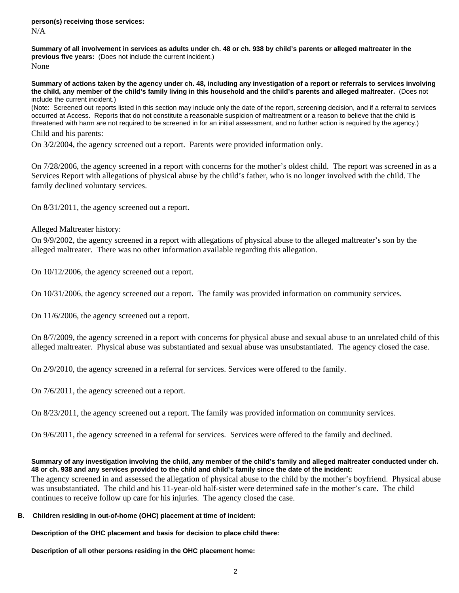**Summary of all involvement in services as adults under ch. 48 or ch. 938 by child's parents or alleged maltreater in the previous five years:** (Does not include the current incident.)

None

**Summary of actions taken by the agency under ch. 48, including any investigation of a report or referrals to services involving the child, any member of the child's family living in this household and the child's parents and alleged maltreater.** (Does not include the current incident.)

(Note: Screened out reports listed in this section may include only the date of the report, screening decision, and if a referral to services occurred at Access. Reports that do not constitute a reasonable suspicion of maltreatment or a reason to believe that the child is threatened with harm are not required to be screened in for an initial assessment, and no further action is required by the agency.)

Child and his parents:

On 3/2/2004, the agency screened out a report. Parents were provided information only.

On 7/28/2006, the agency screened in a report with concerns for the mother's oldest child. The report was screened in as a Services Report with allegations of physical abuse by the child's father, who is no longer involved with the child. The family declined voluntary services.

On 8/31/2011, the agency screened out a report.

Alleged Maltreater history:

On 9/9/2002, the agency screened in a report with allegations of physical abuse to the alleged maltreater's son by the alleged maltreater. There was no other information available regarding this allegation.

On 10/12/2006, the agency screened out a report.

On 10/31/2006, the agency screened out a report. The family was provided information on community services.

On 11/6/2006, the agency screened out a report.

On 8/7/2009, the agency screened in a report with concerns for physical abuse and sexual abuse to an unrelated child of this alleged maltreater. Physical abuse was substantiated and sexual abuse was unsubstantiated. The agency closed the case.

On 2/9/2010, the agency screened in a referral for services. Services were offered to the family.

On 7/6/2011, the agency screened out a report.

On 8/23/2011, the agency screened out a report. The family was provided information on community services.

On 9/6/2011, the agency screened in a referral for services. Services were offered to the family and declined.

### **Summary of any investigation involving the child, any member of the child's family and alleged maltreater conducted under ch. 48 or ch. 938 and any services provided to the child and child's family since the date of the incident:**

The agency screened in and assessed the allegation of physical abuse to the child by the mother's boyfriend. Physical abuse was unsubstantiated. The child and his 11-year-old half-sister were determined safe in the mother's care. The child continues to receive follow up care for his injuries. The agency closed the case.

#### **B. Children residing in out-of-home (OHC) placement at time of incident:**

**Description of the OHC placement and basis for decision to place child there:**

**Description of all other persons residing in the OHC placement home:**